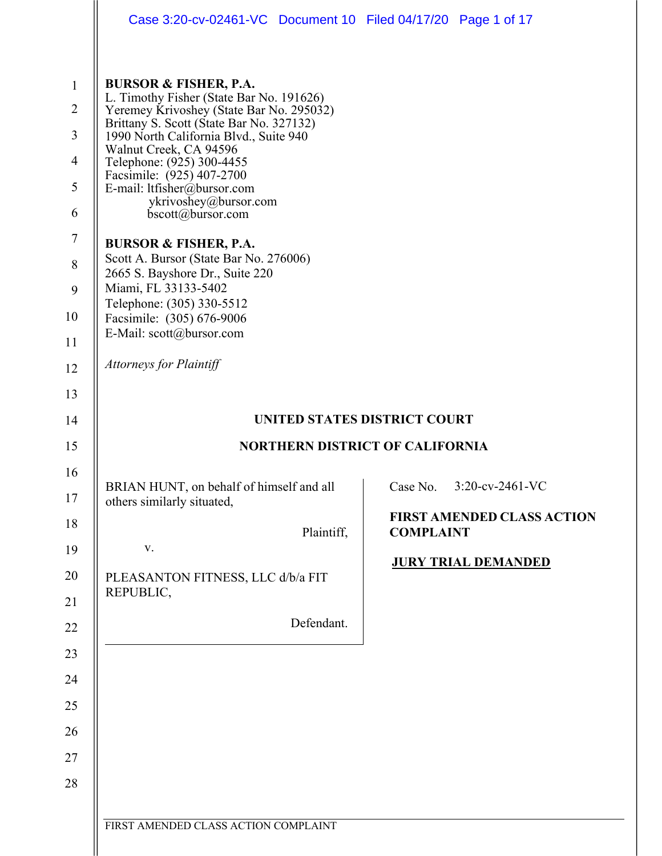|                                                                              | Case 3:20-cv-02461-VC Document 10 Filed 04/17/20 Page 1 of 17                                                                                                                                                                                                                                                                                                                   |                                                                                                                    |  |  |  |  |  |
|------------------------------------------------------------------------------|---------------------------------------------------------------------------------------------------------------------------------------------------------------------------------------------------------------------------------------------------------------------------------------------------------------------------------------------------------------------------------|--------------------------------------------------------------------------------------------------------------------|--|--|--|--|--|
| $\mathbf{1}$<br>$\overline{2}$<br>$\mathfrak{Z}$<br>$\overline{4}$<br>5<br>6 | <b>BURSOR &amp; FISHER, P.A.</b><br>L. Timothy Fisher (State Bar No. 191626)<br>Yeremey Krivoshey (State Bar No. 295032)<br>Brittany S. Scott (State Bar No. 327132)<br>1990 North California Blvd., Suite 940<br>Walnut Creek, CA 94596<br>Telephone: (925) 300-4455<br>Facsimile: (925) 407-2700<br>E-mail: ltfisher@bursor.com<br>ykrivoshey@bursor.com<br>bscott@bursor.com |                                                                                                                    |  |  |  |  |  |
| $\tau$<br>$8\,$<br>9<br>10<br>11                                             | <b>BURSOR &amp; FISHER, P.A.</b><br>Scott A. Bursor (State Bar No. 276006)<br>2665 S. Bayshore Dr., Suite 220<br>Miami, FL 33133-5402<br>Telephone: (305) 330-5512<br>Facsimile: (305) 676-9006<br>E-Mail: scott@bursor.com                                                                                                                                                     |                                                                                                                    |  |  |  |  |  |
| 12<br>13                                                                     | <b>Attorneys for Plaintiff</b>                                                                                                                                                                                                                                                                                                                                                  |                                                                                                                    |  |  |  |  |  |
| 14<br>15                                                                     | UNITED STATES DISTRICT COURT<br><b>NORTHERN DISTRICT OF CALIFORNIA</b>                                                                                                                                                                                                                                                                                                          |                                                                                                                    |  |  |  |  |  |
| 16<br>17<br>18<br>19<br>20<br>21                                             | BRIAN HUNT, on behalf of himself and all<br>others similarly situated,<br>Plaintiff,<br>$\mathbf{V}$ .<br>PLEASANTON FITNESS, LLC d/b/a FIT<br>REPUBLIC,                                                                                                                                                                                                                        | Case No. $3:20$ -cv-2461-VC<br><b>FIRST AMENDED CLASS ACTION</b><br><b>COMPLAINT</b><br><b>JURY TRIAL DEMANDED</b> |  |  |  |  |  |
| 22<br>23<br>24<br>25<br>26<br>27<br>28                                       | Defendant.                                                                                                                                                                                                                                                                                                                                                                      |                                                                                                                    |  |  |  |  |  |

 $\Big\}$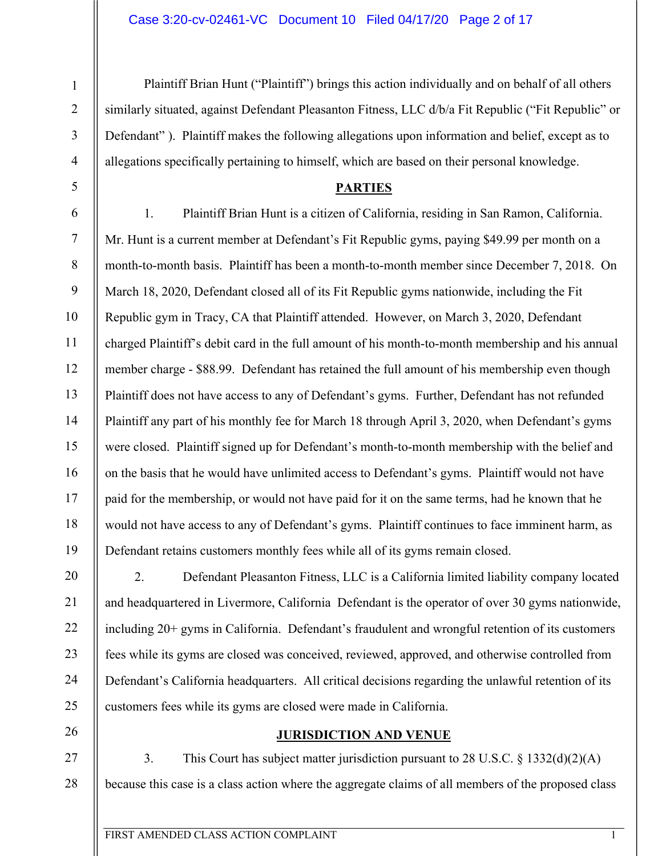1

2

3

4

5

6

11

20

21

23

25

26

Plaintiff Brian Hunt ("Plaintiff") brings this action individually and on behalf of all others similarly situated, against Defendant Pleasanton Fitness, LLC d/b/a Fit Republic ("Fit Republic" or Defendant" ). Plaintiff makes the following allegations upon information and belief, except as to allegations specifically pertaining to himself, which are based on their personal knowledge.

## **PARTIES**

7 8 9 10 12 13 14 15 16 17 18 19 1. Plaintiff Brian Hunt is a citizen of California, residing in San Ramon, California. Mr. Hunt is a current member at Defendant's Fit Republic gyms, paying \$49.99 per month on a month-to-month basis. Plaintiff has been a month-to-month member since December 7, 2018. On March 18, 2020, Defendant closed all of its Fit Republic gyms nationwide, including the Fit Republic gym in Tracy, CA that Plaintiff attended. However, on March 3, 2020, Defendant charged Plaintiff's debit card in the full amount of his month-to-month membership and his annual member charge - \$88.99. Defendant has retained the full amount of his membership even though Plaintiff does not have access to any of Defendant's gyms. Further, Defendant has not refunded Plaintiff any part of his monthly fee for March 18 through April 3, 2020, when Defendant's gyms were closed. Plaintiff signed up for Defendant's month-to-month membership with the belief and on the basis that he would have unlimited access to Defendant's gyms. Plaintiff would not have paid for the membership, or would not have paid for it on the same terms, had he known that he would not have access to any of Defendant's gyms. Plaintiff continues to face imminent harm, as Defendant retains customers monthly fees while all of its gyms remain closed.

22 24 2. Defendant Pleasanton Fitness, LLC is a California limited liability company located and headquartered in Livermore, California Defendant is the operator of over 30 gyms nationwide, including 20+ gyms in California. Defendant's fraudulent and wrongful retention of its customers fees while its gyms are closed was conceived, reviewed, approved, and otherwise controlled from Defendant's California headquarters. All critical decisions regarding the unlawful retention of its customers fees while its gyms are closed were made in California.

## **JURISDICTION AND VENUE**

27 28 3. This Court has subject matter jurisdiction pursuant to 28 U.S.C. § 1332(d)(2)(A) because this case is a class action where the aggregate claims of all members of the proposed class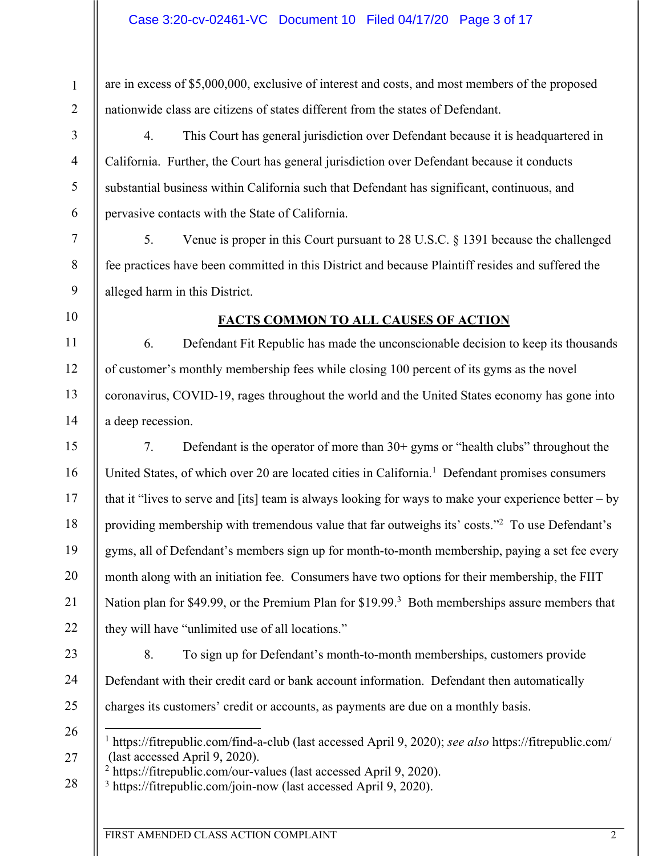are in excess of \$5,000,000, exclusive of interest and costs, and most members of the proposed nationwide class are citizens of states different from the states of Defendant.

4. This Court has general jurisdiction over Defendant because it is headquartered in California. Further, the Court has general jurisdiction over Defendant because it conducts substantial business within California such that Defendant has significant, continuous, and pervasive contacts with the State of California.

5. Venue is proper in this Court pursuant to 28 U.S.C. § 1391 because the challenged fee practices have been committed in this District and because Plaintiff resides and suffered the alleged harm in this District.

# 10

1

2

3

4

5

6

7

8

9

11

12

13

14

**FACTS COMMON TO ALL CAUSES OF ACTION**

6. Defendant Fit Republic has made the unconscionable decision to keep its thousands of customer's monthly membership fees while closing 100 percent of its gyms as the novel coronavirus, COVID-19, rages throughout the world and the United States economy has gone into a deep recession.

15 16 17 18 19 20 21 22 7. Defendant is the operator of more than 30+ gyms or "health clubs" throughout the United States, of which over 20 are located cities in California.<sup>1</sup> Defendant promises consumers that it "lives to serve and [its] team is always looking for ways to make your experience better – by providing membership with tremendous value that far outweighs its' costs."2 To use Defendant's gyms, all of Defendant's members sign up for month-to-month membership, paying a set fee every month along with an initiation fee. Consumers have two options for their membership, the FIIT Nation plan for \$49.99, or the Premium Plan for \$19.99.<sup>3</sup> Both memberships assure members that they will have "unlimited use of all locations."

23

24

25

8. To sign up for Defendant's month-to-month memberships, customers provide Defendant with their credit card or bank account information. Defendant then automatically charges its customers' credit or accounts, as payments are due on a monthly basis.

- 26 27 <sup>1</sup> https://fitrepublic.com/find-a-club (last accessed April 9, 2020); *see also* https://fitrepublic.com/ (last accessed April 9, 2020).
	- <sup>2</sup> https://fitrepublic.com/our-values (last accessed April 9, 2020).
- 28 <sup>3</sup> https://fitrepublic.com/join-now (last accessed April 9, 2020).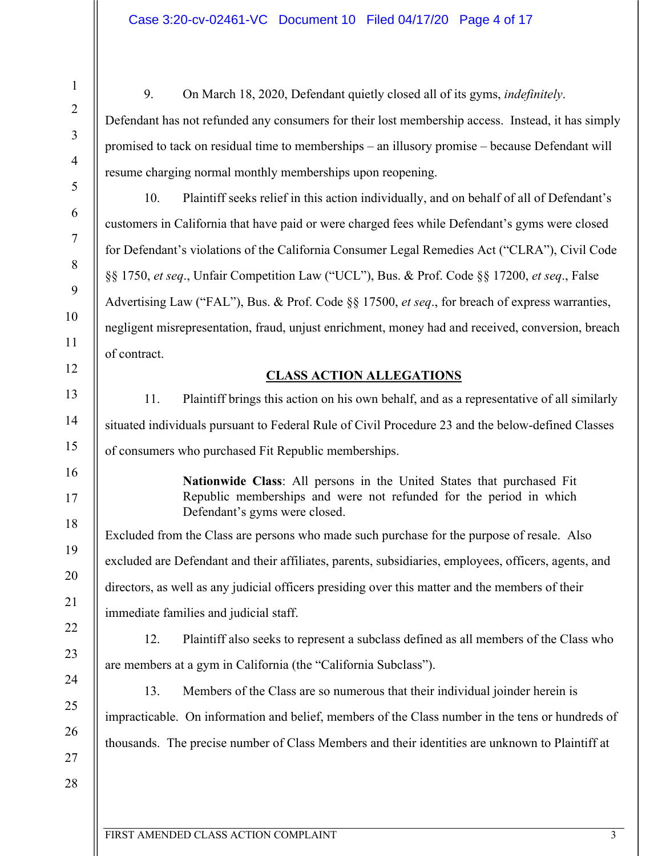9. On March 18, 2020, Defendant quietly closed all of its gyms, *indefinitely*. Defendant has not refunded any consumers for their lost membership access. Instead, it has simply promised to tack on residual time to memberships – an illusory promise – because Defendant will resume charging normal monthly memberships upon reopening.

10. Plaintiff seeks relief in this action individually, and on behalf of all of Defendant's customers in California that have paid or were charged fees while Defendant's gyms were closed for Defendant's violations of the California Consumer Legal Remedies Act ("CLRA"), Civil Code §§ 1750, *et seq*., Unfair Competition Law ("UCL"), Bus. & Prof. Code §§ 17200, *et seq*., False Advertising Law ("FAL"), Bus. & Prof. Code §§ 17500, *et seq*., for breach of express warranties, negligent misrepresentation, fraud, unjust enrichment, money had and received, conversion, breach of contract.

# **CLASS ACTION ALLEGATIONS**

11. Plaintiff brings this action on his own behalf, and as a representative of all similarly situated individuals pursuant to Federal Rule of Civil Procedure 23 and the below-defined Classes of consumers who purchased Fit Republic memberships.

> **Nationwide Class**: All persons in the United States that purchased Fit Republic memberships and were not refunded for the period in which Defendant's gyms were closed.

Excluded from the Class are persons who made such purchase for the purpose of resale. Also excluded are Defendant and their affiliates, parents, subsidiaries, employees, officers, agents, and directors, as well as any judicial officers presiding over this matter and the members of their immediate families and judicial staff.

12. Plaintiff also seeks to represent a subclass defined as all members of the Class who are members at a gym in California (the "California Subclass").

13. Members of the Class are so numerous that their individual joinder herein is impracticable. On information and belief, members of the Class number in the tens or hundreds of thousands. The precise number of Class Members and their identities are unknown to Plaintiff at

28

1

2

3

4

5

6

7

8

9

10

11

12

13

14

15

16

17

18

19

20

21

22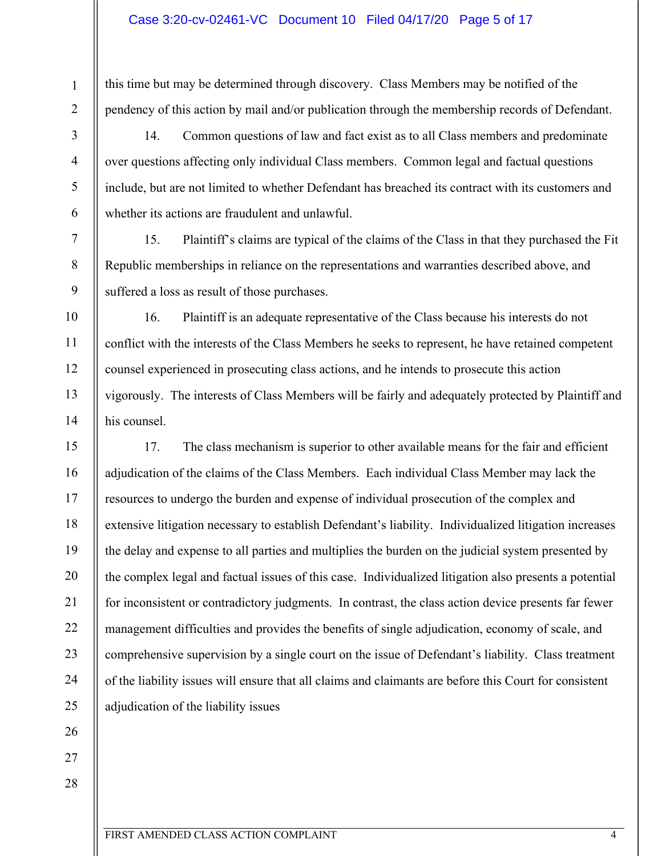#### Case 3:20-cv-02461-VC Document 10 Filed 04/17/20 Page 5 of 17

this time but may be determined through discovery. Class Members may be notified of the pendency of this action by mail and/or publication through the membership records of Defendant.

14. Common questions of law and fact exist as to all Class members and predominate over questions affecting only individual Class members. Common legal and factual questions include, but are not limited to whether Defendant has breached its contract with its customers and whether its actions are fraudulent and unlawful.

15. Plaintiff's claims are typical of the claims of the Class in that they purchased the Fit Republic memberships in reliance on the representations and warranties described above, and suffered a loss as result of those purchases.

16. Plaintiff is an adequate representative of the Class because his interests do not conflict with the interests of the Class Members he seeks to represent, he have retained competent counsel experienced in prosecuting class actions, and he intends to prosecute this action vigorously. The interests of Class Members will be fairly and adequately protected by Plaintiff and his counsel.

15 16 17 18 19 20 21 22 23 24 25 17. The class mechanism is superior to other available means for the fair and efficient adjudication of the claims of the Class Members. Each individual Class Member may lack the resources to undergo the burden and expense of individual prosecution of the complex and extensive litigation necessary to establish Defendant's liability. Individualized litigation increases the delay and expense to all parties and multiplies the burden on the judicial system presented by the complex legal and factual issues of this case. Individualized litigation also presents a potential for inconsistent or contradictory judgments. In contrast, the class action device presents far fewer management difficulties and provides the benefits of single adjudication, economy of scale, and comprehensive supervision by a single court on the issue of Defendant's liability. Class treatment of the liability issues will ensure that all claims and claimants are before this Court for consistent adjudication of the liability issues

26 27

1

2

3

4

5

6

7

8

9

10

11

12

13

14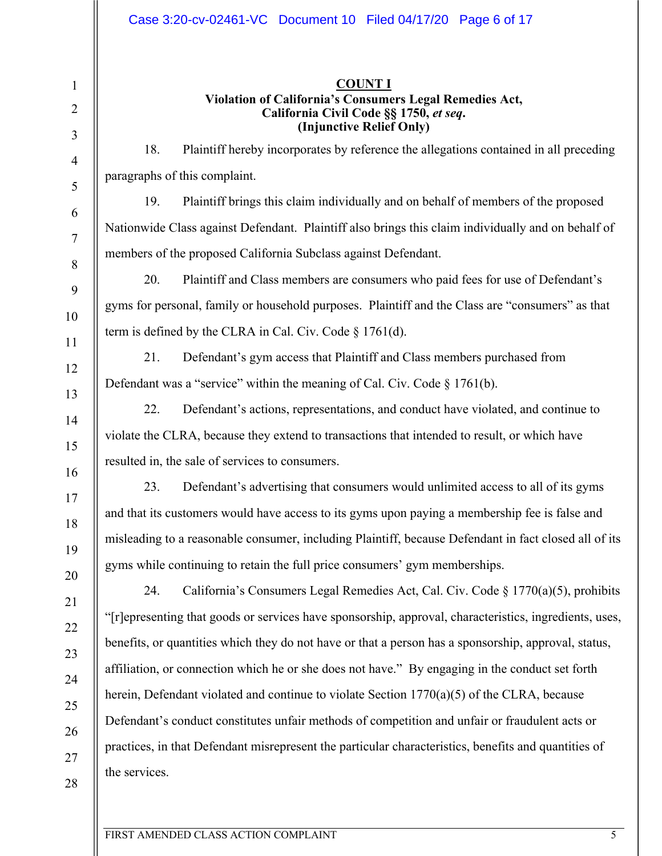#### **COUNT I Violation of California's Consumers Legal Remedies Act, California Civil Code §§ 1750,** *et seq***. (Injunctive Relief Only)**

18. Plaintiff hereby incorporates by reference the allegations contained in all preceding paragraphs of this complaint.

19. Plaintiff brings this claim individually and on behalf of members of the proposed Nationwide Class against Defendant. Plaintiff also brings this claim individually and on behalf of members of the proposed California Subclass against Defendant.

20. Plaintiff and Class members are consumers who paid fees for use of Defendant's gyms for personal, family or household purposes. Plaintiff and the Class are "consumers" as that term is defined by the CLRA in Cal. Civ. Code § 1761(d).

21. Defendant's gym access that Plaintiff and Class members purchased from Defendant was a "service" within the meaning of Cal. Civ. Code § 1761(b).

22. Defendant's actions, representations, and conduct have violated, and continue to violate the CLRA, because they extend to transactions that intended to result, or which have resulted in, the sale of services to consumers.

23. Defendant's advertising that consumers would unlimited access to all of its gyms and that its customers would have access to its gyms upon paying a membership fee is false and misleading to a reasonable consumer, including Plaintiff, because Defendant in fact closed all of its gyms while continuing to retain the full price consumers' gym memberships.

24. California's Consumers Legal Remedies Act, Cal. Civ. Code § 1770(a)(5), prohibits "[r]epresenting that goods or services have sponsorship, approval, characteristics, ingredients, uses, benefits, or quantities which they do not have or that a person has a sponsorship, approval, status, affiliation, or connection which he or she does not have." By engaging in the conduct set forth herein, Defendant violated and continue to violate Section 1770(a)(5) of the CLRA, because Defendant's conduct constitutes unfair methods of competition and unfair or fraudulent acts or practices, in that Defendant misrepresent the particular characteristics, benefits and quantities of the services.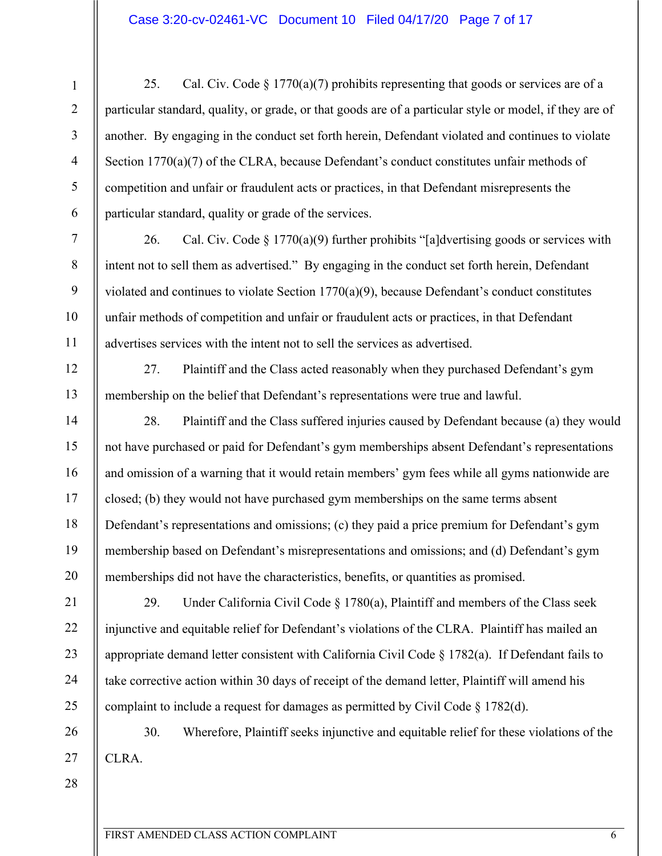25. Cal. Civ. Code  $\S 1770(a)(7)$  prohibits representing that goods or services are of a particular standard, quality, or grade, or that goods are of a particular style or model, if they are of another. By engaging in the conduct set forth herein, Defendant violated and continues to violate Section 1770(a)(7) of the CLRA, because Defendant's conduct constitutes unfair methods of competition and unfair or fraudulent acts or practices, in that Defendant misrepresents the particular standard, quality or grade of the services.

26. Cal. Civ. Code  $\S 1770(a)(9)$  further prohibits "[a]dvertising goods or services with intent not to sell them as advertised." By engaging in the conduct set forth herein, Defendant violated and continues to violate Section 1770(a)(9), because Defendant's conduct constitutes unfair methods of competition and unfair or fraudulent acts or practices, in that Defendant advertises services with the intent not to sell the services as advertised.

27. Plaintiff and the Class acted reasonably when they purchased Defendant's gym membership on the belief that Defendant's representations were true and lawful.

28. Plaintiff and the Class suffered injuries caused by Defendant because (a) they would not have purchased or paid for Defendant's gym memberships absent Defendant's representations and omission of a warning that it would retain members' gym fees while all gyms nationwide are closed; (b) they would not have purchased gym memberships on the same terms absent Defendant's representations and omissions; (c) they paid a price premium for Defendant's gym membership based on Defendant's misrepresentations and omissions; and (d) Defendant's gym memberships did not have the characteristics, benefits, or quantities as promised.

29. Under California Civil Code  $\S$  1780(a), Plaintiff and members of the Class seek injunctive and equitable relief for Defendant's violations of the CLRA. Plaintiff has mailed an appropriate demand letter consistent with California Civil Code § 1782(a). If Defendant fails to take corrective action within 30 days of receipt of the demand letter, Plaintiff will amend his complaint to include a request for damages as permitted by Civil Code § 1782(d).

26 27 30. Wherefore, Plaintiff seeks injunctive and equitable relief for these violations of the CLRA.

1

2

3

4

5

6

7

8

9

10

11

12

13

14

15

16

17

18

19

20

21

22

23

24

25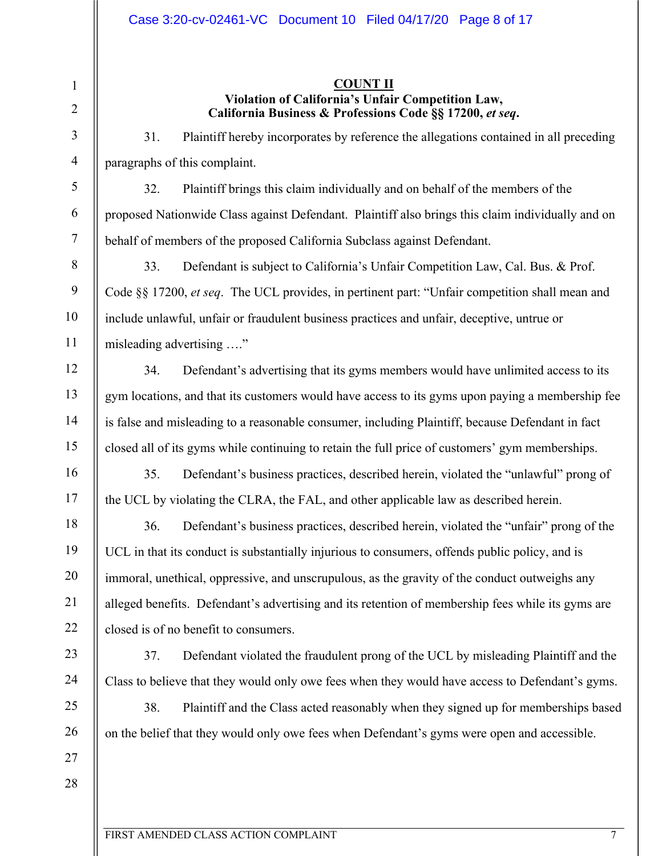#### **COUNT II Violation of California's Unfair Competition Law, California Business & Professions Code §§ 17200,** *et seq***.**

31. Plaintiff hereby incorporates by reference the allegations contained in all preceding paragraphs of this complaint.

32. Plaintiff brings this claim individually and on behalf of the members of the proposed Nationwide Class against Defendant. Plaintiff also brings this claim individually and on behalf of members of the proposed California Subclass against Defendant.

33. Defendant is subject to California's Unfair Competition Law, Cal. Bus. & Prof. Code §§ 17200, *et seq*. The UCL provides, in pertinent part: "Unfair competition shall mean and include unlawful, unfair or fraudulent business practices and unfair, deceptive, untrue or misleading advertising …."

12 13

14

15

16

17

18

19

20

21

22

23

24

25

26

1

2

3

4

5

6

7

8

9

10

11

34. Defendant's advertising that its gyms members would have unlimited access to its gym locations, and that its customers would have access to its gyms upon paying a membership fee is false and misleading to a reasonable consumer, including Plaintiff, because Defendant in fact closed all of its gyms while continuing to retain the full price of customers' gym memberships.

35. Defendant's business practices, described herein, violated the "unlawful" prong of the UCL by violating the CLRA, the FAL, and other applicable law as described herein.

36. Defendant's business practices, described herein, violated the "unfair" prong of the UCL in that its conduct is substantially injurious to consumers, offends public policy, and is immoral, unethical, oppressive, and unscrupulous, as the gravity of the conduct outweighs any alleged benefits. Defendant's advertising and its retention of membership fees while its gyms are closed is of no benefit to consumers.

37. Defendant violated the fraudulent prong of the UCL by misleading Plaintiff and the Class to believe that they would only owe fees when they would have access to Defendant's gyms.

38. Plaintiff and the Class acted reasonably when they signed up for memberships based on the belief that they would only owe fees when Defendant's gyms were open and accessible.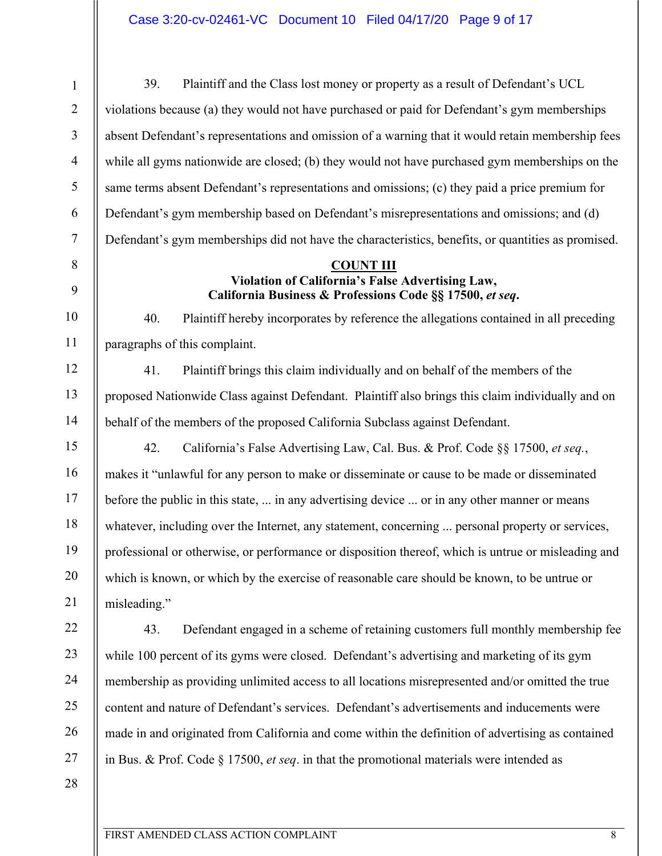| $\mathbf{1}$   | Plaintiff and the Class lost money or property as a result of Defendant's UCL<br>39.                         |  |  |  |  |
|----------------|--------------------------------------------------------------------------------------------------------------|--|--|--|--|
| $\overline{2}$ | violations because (a) they would not have purchased or paid for Defendant's gym memberships                 |  |  |  |  |
| 3              | absent Defendant's representations and omission of a warning that it would retain membership fees            |  |  |  |  |
| $\overline{4}$ | while all gyms nationwide are closed; (b) they would not have purchased gym memberships on the               |  |  |  |  |
| 5              | same terms absent Defendant's representations and omissions; (c) they paid a price premium for               |  |  |  |  |
| 6              | Defendant's gym membership based on Defendant's misrepresentations and omissions; and (d)                    |  |  |  |  |
| $\tau$         | Defendant's gym memberships did not have the characteristics, benefits, or quantities as promised.           |  |  |  |  |
| $8\,$          | <b>COUNT III</b>                                                                                             |  |  |  |  |
| 9              | Violation of California's False Advertising Law,<br>California Business & Professions Code §§ 17500, et seq. |  |  |  |  |
| 10             | 40.<br>Plaintiff hereby incorporates by reference the allegations contained in all preceding                 |  |  |  |  |
| 11             | paragraphs of this complaint.                                                                                |  |  |  |  |
| 12             | Plaintiff brings this claim individually and on behalf of the members of the<br>41.                          |  |  |  |  |
| 13             | proposed Nationwide Class against Defendant. Plaintiff also brings this claim individually and on            |  |  |  |  |
| 14             | behalf of the members of the proposed California Subclass against Defendant.                                 |  |  |  |  |
| 15             | 42.<br>California's False Advertising Law, Cal. Bus. & Prof. Code §§ 17500, et seq.,                         |  |  |  |  |
| 16             | makes it "unlawful for any person to make or disseminate or cause to be made or disseminated                 |  |  |  |  |
| 17             | before the public in this state,  in any advertising device  or in any other manner or means                 |  |  |  |  |
| 18             | whatever, including over the Internet, any statement, concerning  personal property or services,             |  |  |  |  |
| 19             | professional or otherwise, or performance or disposition thereof, which is untrue or misleading and          |  |  |  |  |
| 20             | which is known, or which by the exercise of reasonable care should be known, to be untrue or                 |  |  |  |  |
| 21             | misleading."                                                                                                 |  |  |  |  |
| 22             | Defendant engaged in a scheme of retaining customers full monthly membership fee<br>43.                      |  |  |  |  |
| 23             | while 100 percent of its gyms were closed. Defendant's advertising and marketing of its gym                  |  |  |  |  |
| 24             | membership as providing unlimited access to all locations misrepresented and/or omitted the true             |  |  |  |  |
| 25             | content and nature of Defendant's services. Defendant's advertisements and inducements were                  |  |  |  |  |
| 26             | made in and originated from California and come within the definition of advertising as contained            |  |  |  |  |
| 27             | in Bus. & Prof. Code $\S 17500$ , et seq. in that the promotional materials were intended as                 |  |  |  |  |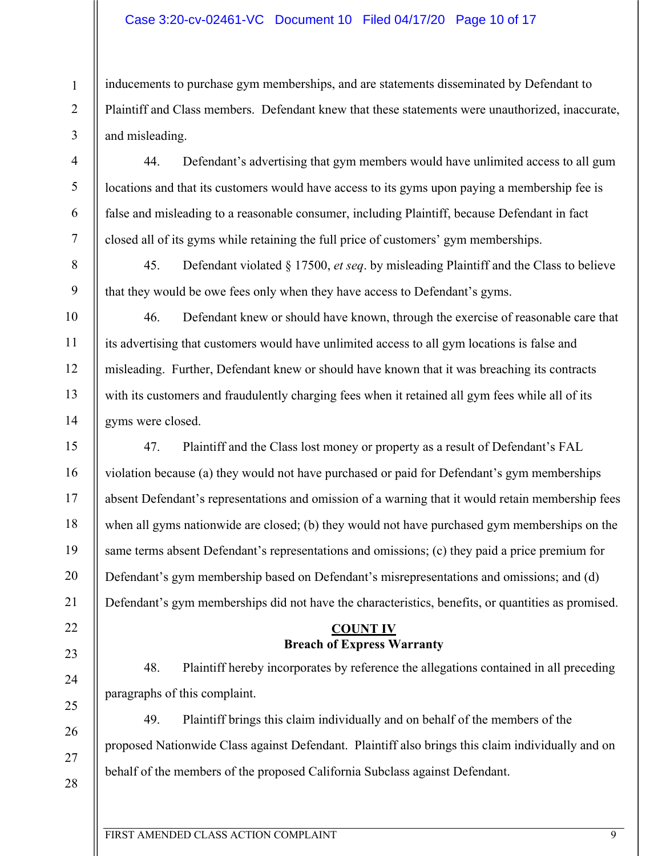# Case 3:20-cv-02461-VC Document 10 Filed 04/17/20 Page 10 of 17

1

2

3

4

5

6

7

8

9

10

11

12

13

14

15

16

17

18

19

20

21

22

23

24

25

26

27

28

inducements to purchase gym memberships, and are statements disseminated by Defendant to Plaintiff and Class members. Defendant knew that these statements were unauthorized, inaccurate, and misleading.

44. Defendant's advertising that gym members would have unlimited access to all gum locations and that its customers would have access to its gyms upon paying a membership fee is false and misleading to a reasonable consumer, including Plaintiff, because Defendant in fact closed all of its gyms while retaining the full price of customers' gym memberships.

45. Defendant violated § 17500, *et seq*. by misleading Plaintiff and the Class to believe that they would be owe fees only when they have access to Defendant's gyms.

46. Defendant knew or should have known, through the exercise of reasonable care that its advertising that customers would have unlimited access to all gym locations is false and misleading. Further, Defendant knew or should have known that it was breaching its contracts with its customers and fraudulently charging fees when it retained all gym fees while all of its gyms were closed.

47. Plaintiff and the Class lost money or property as a result of Defendant's FAL violation because (a) they would not have purchased or paid for Defendant's gym memberships absent Defendant's representations and omission of a warning that it would retain membership fees when all gyms nationwide are closed; (b) they would not have purchased gym memberships on the same terms absent Defendant's representations and omissions; (c) they paid a price premium for Defendant's gym membership based on Defendant's misrepresentations and omissions; and (d) Defendant's gym memberships did not have the characteristics, benefits, or quantities as promised.

#### **COUNT IV Breach of Express Warranty**

48. Plaintiff hereby incorporates by reference the allegations contained in all preceding paragraphs of this complaint.

49. Plaintiff brings this claim individually and on behalf of the members of the proposed Nationwide Class against Defendant. Plaintiff also brings this claim individually and on behalf of the members of the proposed California Subclass against Defendant.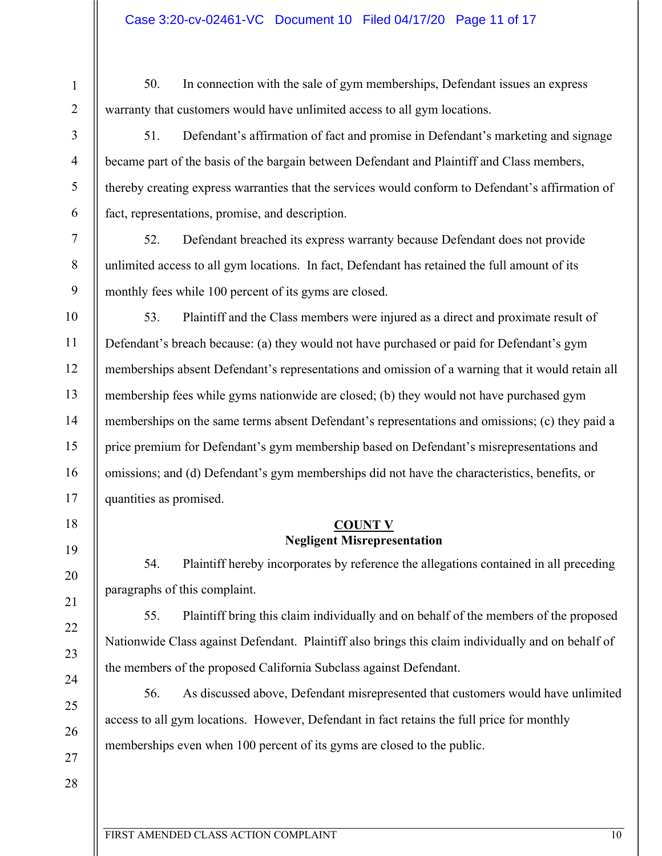50. In connection with the sale of gym memberships, Defendant issues an express warranty that customers would have unlimited access to all gym locations.

51. Defendant's affirmation of fact and promise in Defendant's marketing and signage became part of the basis of the bargain between Defendant and Plaintiff and Class members, thereby creating express warranties that the services would conform to Defendant's affirmation of fact, representations, promise, and description.

52. Defendant breached its express warranty because Defendant does not provide unlimited access to all gym locations. In fact, Defendant has retained the full amount of its monthly fees while 100 percent of its gyms are closed.

53. Plaintiff and the Class members were injured as a direct and proximate result of Defendant's breach because: (a) they would not have purchased or paid for Defendant's gym memberships absent Defendant's representations and omission of a warning that it would retain all membership fees while gyms nationwide are closed; (b) they would not have purchased gym memberships on the same terms absent Defendant's representations and omissions; (c) they paid a price premium for Defendant's gym membership based on Defendant's misrepresentations and omissions; and (d) Defendant's gym memberships did not have the characteristics, benefits, or quantities as promised.

## **COUNT V Negligent Misrepresentation**

54. Plaintiff hereby incorporates by reference the allegations contained in all preceding paragraphs of this complaint.

55. Plaintiff bring this claim individually and on behalf of the members of the proposed Nationwide Class against Defendant. Plaintiff also brings this claim individually and on behalf of the members of the proposed California Subclass against Defendant.

56. As discussed above, Defendant misrepresented that customers would have unlimited access to all gym locations. However, Defendant in fact retains the full price for monthly memberships even when 100 percent of its gyms are closed to the public.

1

2

3

4

5

6

7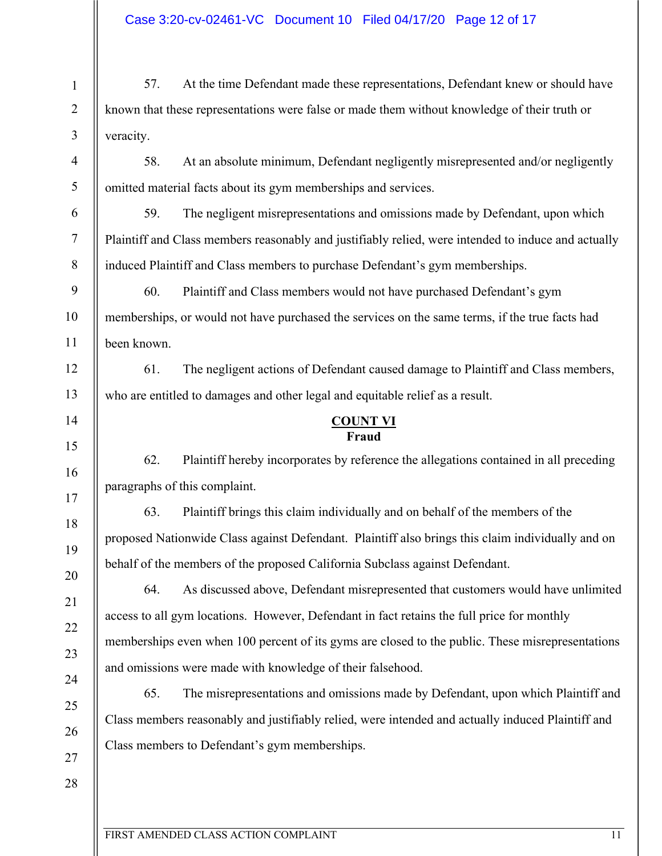1 2 3 4 5 6 7 8 9 10 11 12 13 14 15 16 17 18 19 20 21 22 23 24 25 26 27 28 57. At the time Defendant made these representations, Defendant knew or should have known that these representations were false or made them without knowledge of their truth or veracity. 58. At an absolute minimum, Defendant negligently misrepresented and/or negligently omitted material facts about its gym memberships and services. 59. The negligent misrepresentations and omissions made by Defendant, upon which Plaintiff and Class members reasonably and justifiably relied, were intended to induce and actually induced Plaintiff and Class members to purchase Defendant's gym memberships. 60. Plaintiff and Class members would not have purchased Defendant's gym memberships, or would not have purchased the services on the same terms, if the true facts had been known. 61. The negligent actions of Defendant caused damage to Plaintiff and Class members, who are entitled to damages and other legal and equitable relief as a result. **COUNT VI Fraud** 62. Plaintiff hereby incorporates by reference the allegations contained in all preceding paragraphs of this complaint. 63. Plaintiff brings this claim individually and on behalf of the members of the proposed Nationwide Class against Defendant. Plaintiff also brings this claim individually and on behalf of the members of the proposed California Subclass against Defendant. 64. As discussed above, Defendant misrepresented that customers would have unlimited access to all gym locations. However, Defendant in fact retains the full price for monthly memberships even when 100 percent of its gyms are closed to the public. These misrepresentations and omissions were made with knowledge of their falsehood. 65. The misrepresentations and omissions made by Defendant, upon which Plaintiff and Class members reasonably and justifiably relied, were intended and actually induced Plaintiff and Class members to Defendant's gym memberships.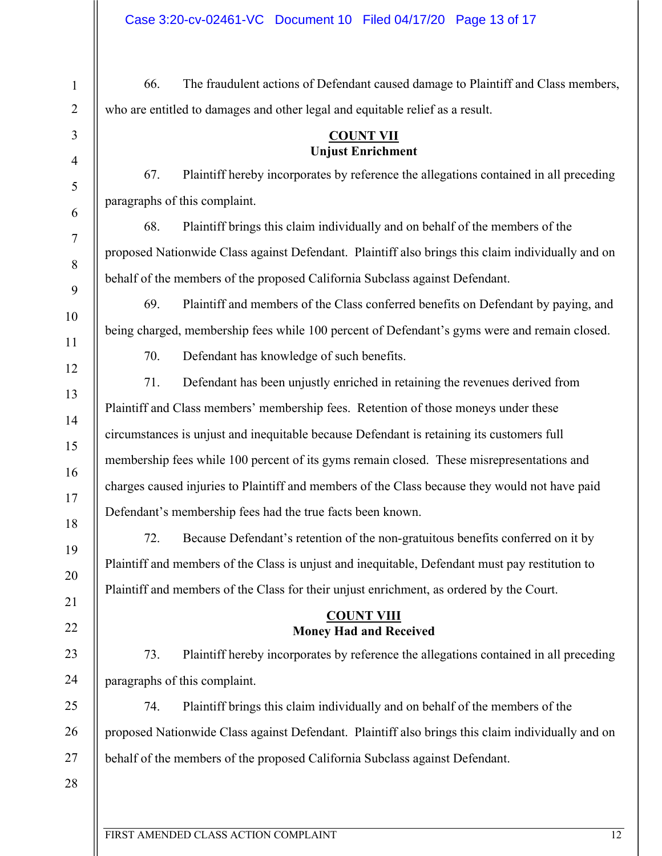66. The fraudulent actions of Defendant caused damage to Plaintiff and Class members, who are entitled to damages and other legal and equitable relief as a result.

# **COUNT VII Unjust Enrichment**

67. Plaintiff hereby incorporates by reference the allegations contained in all preceding paragraphs of this complaint.

68. Plaintiff brings this claim individually and on behalf of the members of the proposed Nationwide Class against Defendant. Plaintiff also brings this claim individually and on behalf of the members of the proposed California Subclass against Defendant.

69. Plaintiff and members of the Class conferred benefits on Defendant by paying, and being charged, membership fees while 100 percent of Defendant's gyms were and remain closed.

1

2

3

4

5

6

7

8

9

10

11

12

13

14

15

16

17

18

19

20

21

22

23

24

25

26

27

70. Defendant has knowledge of such benefits.

71. Defendant has been unjustly enriched in retaining the revenues derived from Plaintiff and Class members' membership fees. Retention of those moneys under these circumstances is unjust and inequitable because Defendant is retaining its customers full membership fees while 100 percent of its gyms remain closed. These misrepresentations and charges caused injuries to Plaintiff and members of the Class because they would not have paid Defendant's membership fees had the true facts been known.

72. Because Defendant's retention of the non-gratuitous benefits conferred on it by Plaintiff and members of the Class is unjust and inequitable, Defendant must pay restitution to Plaintiff and members of the Class for their unjust enrichment, as ordered by the Court.

# **COUNT VIII Money Had and Received**

73. Plaintiff hereby incorporates by reference the allegations contained in all preceding paragraphs of this complaint.

74. Plaintiff brings this claim individually and on behalf of the members of the proposed Nationwide Class against Defendant. Plaintiff also brings this claim individually and on behalf of the members of the proposed California Subclass against Defendant.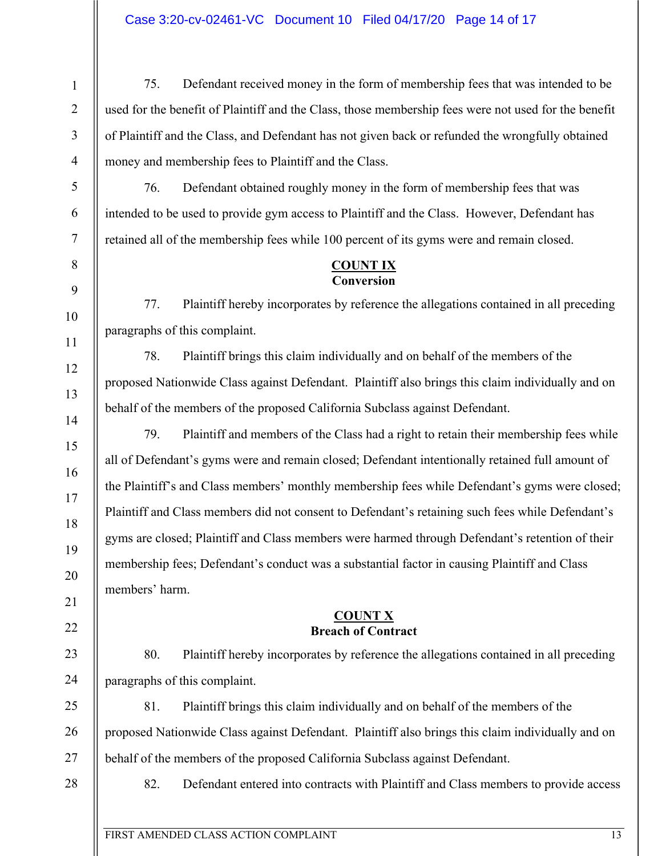75. Defendant received money in the form of membership fees that was intended to be used for the benefit of Plaintiff and the Class, those membership fees were not used for the benefit of Plaintiff and the Class, and Defendant has not given back or refunded the wrongfully obtained money and membership fees to Plaintiff and the Class.

76. Defendant obtained roughly money in the form of membership fees that was intended to be used to provide gym access to Plaintiff and the Class. However, Defendant has retained all of the membership fees while 100 percent of its gyms were and remain closed.

## **COUNT IX Conversion**

77. Plaintiff hereby incorporates by reference the allegations contained in all preceding paragraphs of this complaint.

78. Plaintiff brings this claim individually and on behalf of the members of the proposed Nationwide Class against Defendant. Plaintiff also brings this claim individually and on behalf of the members of the proposed California Subclass against Defendant.

79. Plaintiff and members of the Class had a right to retain their membership fees while all of Defendant's gyms were and remain closed; Defendant intentionally retained full amount of the Plaintiff's and Class members' monthly membership fees while Defendant's gyms were closed; Plaintiff and Class members did not consent to Defendant's retaining such fees while Defendant's gyms are closed; Plaintiff and Class members were harmed through Defendant's retention of their membership fees; Defendant's conduct was a substantial factor in causing Plaintiff and Class members' harm.

# **COUNT X Breach of Contract**

80. Plaintiff hereby incorporates by reference the allegations contained in all preceding paragraphs of this complaint.

81. Plaintiff brings this claim individually and on behalf of the members of the proposed Nationwide Class against Defendant. Plaintiff also brings this claim individually and on behalf of the members of the proposed California Subclass against Defendant.

28

1

2

3

4

5

6

7

8

9

10

11

12

13

14

15

16

17

18

19

20

21

22

23

24

25

26

27

82. Defendant entered into contracts with Plaintiff and Class members to provide access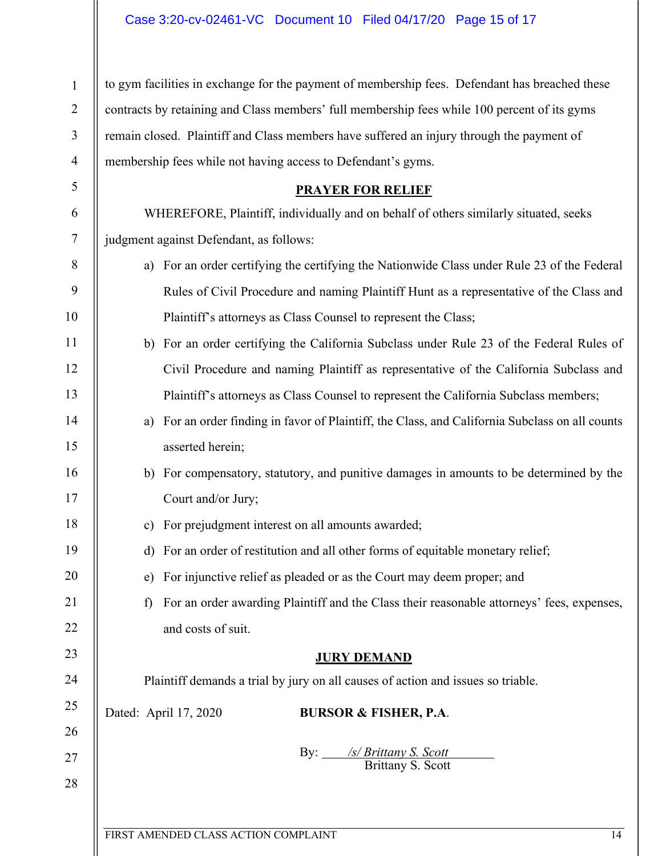1 2 3 4 to gym facilities in exchange for the payment of membership fees. Defendant has breached these contracts by retaining and Class members' full membership fees while 100 percent of its gyms remain closed. Plaintiff and Class members have suffered an injury through the payment of membership fees while not having access to Defendant's gyms.

#### **PRAYER FOR RELIEF**

| 6               | WHEREFORE, Plaintiff, individually and on behalf of others similarly situated, seeks               |  |  |  |  |
|-----------------|----------------------------------------------------------------------------------------------------|--|--|--|--|
| $7\phantom{.0}$ | judgment against Defendant, as follows:                                                            |  |  |  |  |
| 8               | a) For an order certifying the certifying the Nationwide Class under Rule 23 of the Federal        |  |  |  |  |
| 9               | Rules of Civil Procedure and naming Plaintiff Hunt as a representative of the Class and            |  |  |  |  |
| 10              | Plaintiff's attorneys as Class Counsel to represent the Class;                                     |  |  |  |  |
| 11              | b) For an order certifying the California Subclass under Rule 23 of the Federal Rules of           |  |  |  |  |
| 12              | Civil Procedure and naming Plaintiff as representative of the California Subclass and              |  |  |  |  |
| 13              | Plaintiff's attorneys as Class Counsel to represent the California Subclass members;               |  |  |  |  |
| 14              | For an order finding in favor of Plaintiff, the Class, and California Subclass on all counts<br>a) |  |  |  |  |
| 15              | asserted herein;                                                                                   |  |  |  |  |
| 16              | b) For compensatory, statutory, and punitive damages in amounts to be determined by the            |  |  |  |  |
| 17              | Court and/or Jury;                                                                                 |  |  |  |  |

- c) For prejudgment interest on all amounts awarded;
	- d) For an order of restitution and all other forms of equitable monetary relief;
	- e) For injunctive relief as pleaded or as the Court may deem proper; and
	- f) For an order awarding Plaintiff and the Class their reasonable attorneys' fees, expenses, and costs of suit.

## **JURY DEMAND**

Plaintiff demands a trial by jury on all causes of action and issues so triable.

25

5

18

19

20

21

22

23

24

26

27

28

Dated: April 17, 2020 **BURSOR & FISHER, P.A**.

By: */s/ Brittany S. Scott* **Brittany S. Scott**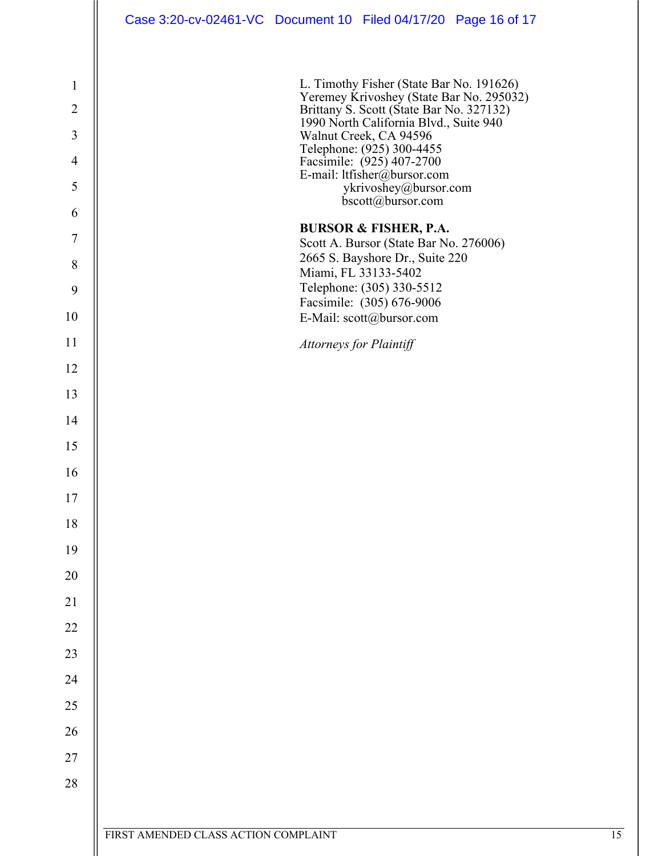|                                                            | Case 3:20-cv-02461-VC Document 10 Filed 04/17/20 Page 16 of 17 |                                |                                                                                                                                                                                                                                                                                                                                             |    |
|------------------------------------------------------------|----------------------------------------------------------------|--------------------------------|---------------------------------------------------------------------------------------------------------------------------------------------------------------------------------------------------------------------------------------------------------------------------------------------------------------------------------------------|----|
| $\mathbf{1}$<br>$\overline{2}$<br>3<br>$\overline{4}$<br>5 |                                                                |                                | L. Timothy Fisher (State Bar No. 191626)<br>Yeremey Krivoshey (State Bar No. 295032)<br>Brittany S. Scott (State Bar No. 327132)<br>1990 North California Blvd., Suite 940<br>Walnut Creek, CA 94596<br>Telephone: (925) 300-4455<br>Facsimile: (925) 407-2700<br>E-mail: ltfisher@bursor.com<br>ykrivoshey@bursor.com<br>bscott@bursor.com |    |
| 6                                                          |                                                                |                                | <b>BURSOR &amp; FISHER, P.A.</b>                                                                                                                                                                                                                                                                                                            |    |
| $\tau$                                                     |                                                                |                                | Scott A. Bursor (State Bar No. 276006)<br>2665 S. Bayshore Dr., Suite 220                                                                                                                                                                                                                                                                   |    |
| 8<br>9                                                     |                                                                |                                | Miami, FL 33133-5402<br>Telephone: (305) 330-5512                                                                                                                                                                                                                                                                                           |    |
| 10                                                         |                                                                |                                | Facsimile: (305) 676-9006<br>E-Mail: scott@bursor.com                                                                                                                                                                                                                                                                                       |    |
| 11                                                         |                                                                | <b>Attorneys for Plaintiff</b> |                                                                                                                                                                                                                                                                                                                                             |    |
| 12                                                         |                                                                |                                |                                                                                                                                                                                                                                                                                                                                             |    |
| 13                                                         |                                                                |                                |                                                                                                                                                                                                                                                                                                                                             |    |
| 14                                                         |                                                                |                                |                                                                                                                                                                                                                                                                                                                                             |    |
| 15                                                         |                                                                |                                |                                                                                                                                                                                                                                                                                                                                             |    |
| 16                                                         |                                                                |                                |                                                                                                                                                                                                                                                                                                                                             |    |
| 17                                                         |                                                                |                                |                                                                                                                                                                                                                                                                                                                                             |    |
| 18                                                         |                                                                |                                |                                                                                                                                                                                                                                                                                                                                             |    |
| 19                                                         |                                                                |                                |                                                                                                                                                                                                                                                                                                                                             |    |
| 20                                                         |                                                                |                                |                                                                                                                                                                                                                                                                                                                                             |    |
| 21                                                         |                                                                |                                |                                                                                                                                                                                                                                                                                                                                             |    |
| $22\,$                                                     |                                                                |                                |                                                                                                                                                                                                                                                                                                                                             |    |
| 23                                                         |                                                                |                                |                                                                                                                                                                                                                                                                                                                                             |    |
| 24                                                         |                                                                |                                |                                                                                                                                                                                                                                                                                                                                             |    |
| $25\,$                                                     |                                                                |                                |                                                                                                                                                                                                                                                                                                                                             |    |
| 26                                                         |                                                                |                                |                                                                                                                                                                                                                                                                                                                                             |    |
| 27                                                         |                                                                |                                |                                                                                                                                                                                                                                                                                                                                             |    |
| 28                                                         |                                                                |                                |                                                                                                                                                                                                                                                                                                                                             |    |
|                                                            |                                                                |                                |                                                                                                                                                                                                                                                                                                                                             |    |
|                                                            | FIRST AMENDED CLASS ACTION COMPLAINT                           |                                |                                                                                                                                                                                                                                                                                                                                             | 15 |